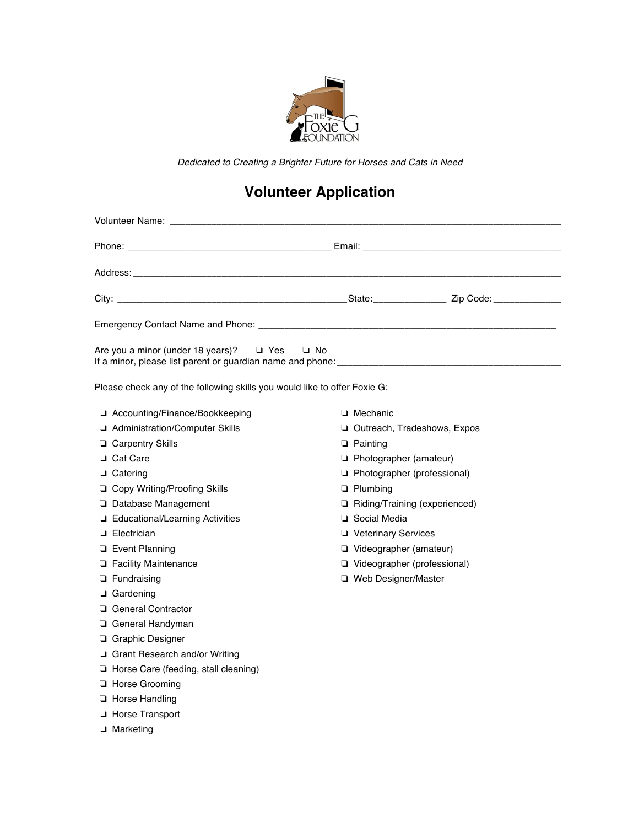

*Dedicated to Creating a Brighter Future for Horses and Cats in Need*

## **Volunteer Application**

| Are you a minor (under 18 years)?<br>$\Box$ Yes<br>□ No                   |                               |
|---------------------------------------------------------------------------|-------------------------------|
| Please check any of the following skills you would like to offer Foxie G: |                               |
| □ Accounting/Finance/Bookkeeping                                          | $\Box$ Mechanic               |
| Administration/Computer Skills                                            | Outreach, Tradeshows, Expos   |
| $\Box$ Carpentry Skills                                                   | $\Box$ Painting               |
| □ Cat Care                                                                | Photographer (amateur)        |
| $\Box$ Catering                                                           | Photographer (professional)   |
| □ Copy Writing/Proofing Skills                                            | $\Box$ Plumbing               |
| □ Database Management                                                     | Riding/Training (experienced) |
| □ Educational/Learning Activities                                         | □ Social Media                |
| $\Box$ Electrician                                                        | <b>U</b> Veterinary Services  |
| $\Box$ Event Planning                                                     | Videographer (amateur)        |
| <b>Example 1</b> Facility Maintenance                                     | Videographer (professional)   |
| $\Box$ Fundraising                                                        | □ Web Designer/Master         |
| $\Box$ Gardening                                                          |                               |
| General Contractor                                                        |                               |
| □ General Handyman                                                        |                               |
| □ Graphic Designer                                                        |                               |
| $\Box$ Grant Research and/or Writing                                      |                               |
| Horse Care (feeding, stall cleaning)                                      |                               |
| Horse Grooming                                                            |                               |
| <b>E</b> Horse Handling                                                   |                               |
| Horse Transport                                                           |                               |
| $\Box$ Marketing                                                          |                               |